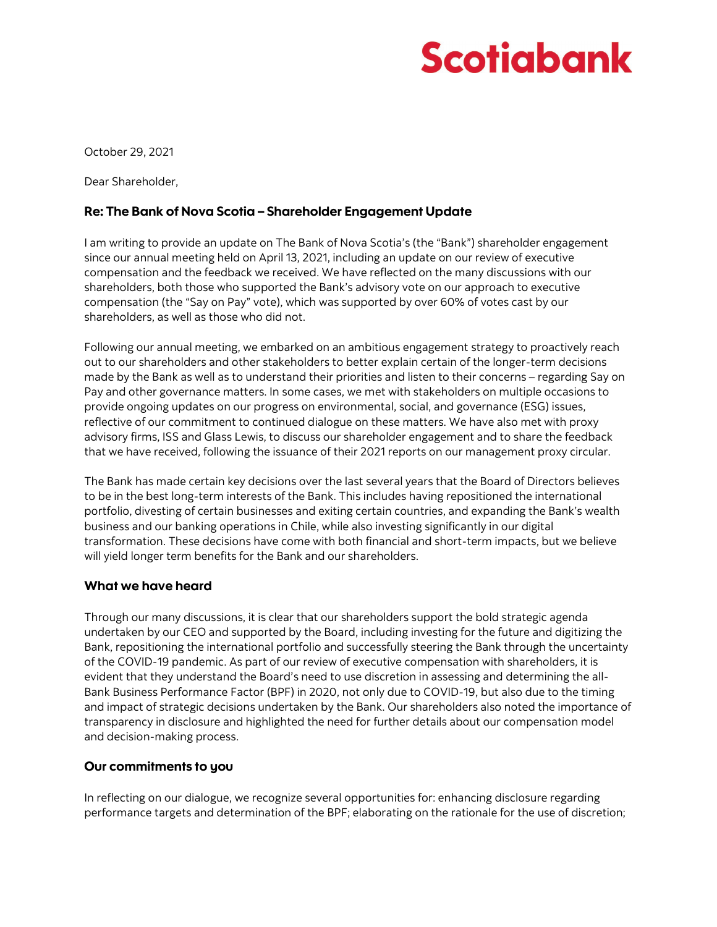# Scotiabank

October 29, 2021

Dear Shareholder,

## Re: The Bank of Nova Scotia – Shareholder Engagement Update

I am writing to provide an update on The Bank of Nova Scotia's (the "Bank") shareholder engagement since our annual meeting held on April 13, 2021, including an update on our review of executive compensation and the feedback we received. We have reflected on the many discussions with our shareholders, both those who supported the Bank's advisory vote on our approach to executive compensation (the "Say on Pay" vote), which was supported by over 60% of votes cast by our shareholders, as well as those who did not.

Following our annual meeting, we embarked on an ambitious engagement strategy to proactively reach out to our shareholders and other stakeholders to better explain certain of the longer-term decisions made by the Bank as well as to understand their priorities and listen to their concerns – regarding Say on Pay and other governance matters. In some cases, we met with stakeholders on multiple occasions to provide ongoing updates on our progress on environmental, social, and governance (ESG) issues, reflective of our commitment to continued dialogue on these matters. We have also met with proxy advisory firms, ISS and Glass Lewis, to discuss our shareholder engagement and to share the feedback that we have received, following the issuance of their 2021 reports on our management proxy circular.

The Bank has made certain key decisions over the last several years that the Board of Directors believes to be in the best long-term interests of the Bank. This includes having repositioned the international portfolio, divesting of certain businesses and exiting certain countries, and expanding the Bank's wealth business and our banking operations in Chile, while also investing significantly in our digital transformation. These decisions have come with both financial and short-term impacts, but we believe will yield longer term benefits for the Bank and our shareholders.

### What we have heard

Through our many discussions, it is clear that our shareholders support the bold strategic agenda undertaken by our CEO and supported by the Board, including investing for the future and digitizing the Bank, repositioning the international portfolio and successfully steering the Bank through the uncertainty of the COVID-19 pandemic. As part of our review of executive compensation with shareholders, it is evident that they understand the Board's need to use discretion in assessing and determining the all-Bank Business Performance Factor (BPF) in 2020, not only due to COVID-19, but also due to the timing and impact of strategic decisions undertaken by the Bank. Our shareholders also noted the importance of transparency in disclosure and highlighted the need for further details about our compensation model and decision-making process.

## Our commitments to you

In reflecting on our dialogue, we recognize several opportunities for: enhancing disclosure regarding performance targets and determination of the BPF; elaborating on the rationale for the use of discretion;